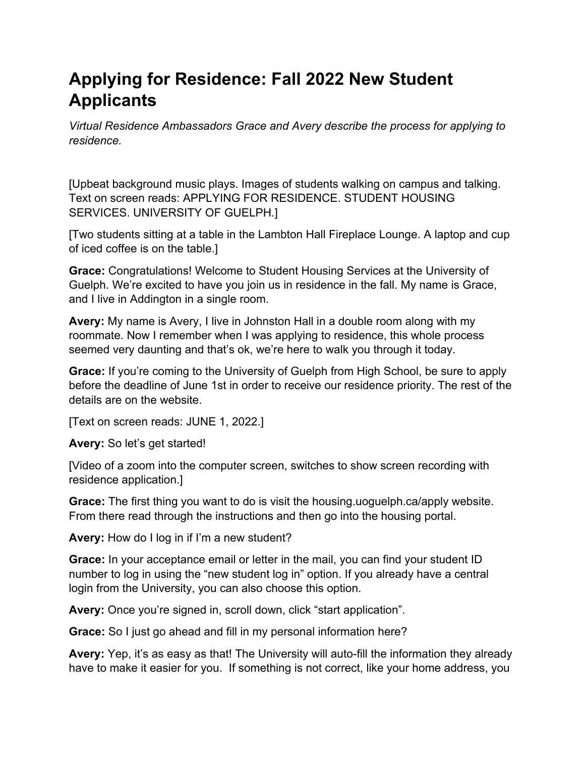## **Applying for Residence: Fall 2022 New Student Applicants**

*Virtual Residence Ambassadors Grace and Avery describe the process for applying to residence.* 

[Upbeat background music plays. Images of students walking on campus and talking. Text on screen reads: APPLYING FOR RESIDENCE. STUDENT HOUSING SERVICES. UNIVERSITY OF GUELPH.]

[Two students sitting at a table in the Lambton Hall Fireplace Lounge. A laptop and cup of iced coffee is on the table.]

**Grace:** Congratulations! Welcome to Student Housing Services at the University of Guelph. We're excited to have you join us in residence in the fall. My name is Grace, and I live in Addington in a single room.

**Avery:** My name is Avery, I live in Johnston Hall in a double room along with my roommate. Now I remember when I was applying to residence, this whole process seemed very daunting and that's ok, we're here to walk you through it today.

**Grace:** If you're coming to the University of Guelph from High School, be sure to apply before the deadline of June 1st in order to receive our residence priority. The rest of the details are on the website.

[Text on screen reads: JUNE 1, 2022.]

**Avery:** So let's get started!

[Video of a zoom into the computer screen, switches to show screen recording with residence application.]

**Grace:** The first thing you want to do is visit the housing.uoguelph.ca/apply website. From there read through the instructions and then go into the housing portal.

**Avery:** How do I log in if I'm a new student?

**Grace:** In your acceptance email or letter in the mail, you can find your student ID number to log in using the "new student log in" option. If you already have a central login from the University, you can also choose this option.

Avery: Once you're signed in, scroll down, click "start application".

**Grace:** So I just go ahead and fill in my personal information here?

**Avery:** Yep, it's as easy as that! The University will auto-fill the information they already have to make it easier for you. If something is not correct, like your home address, you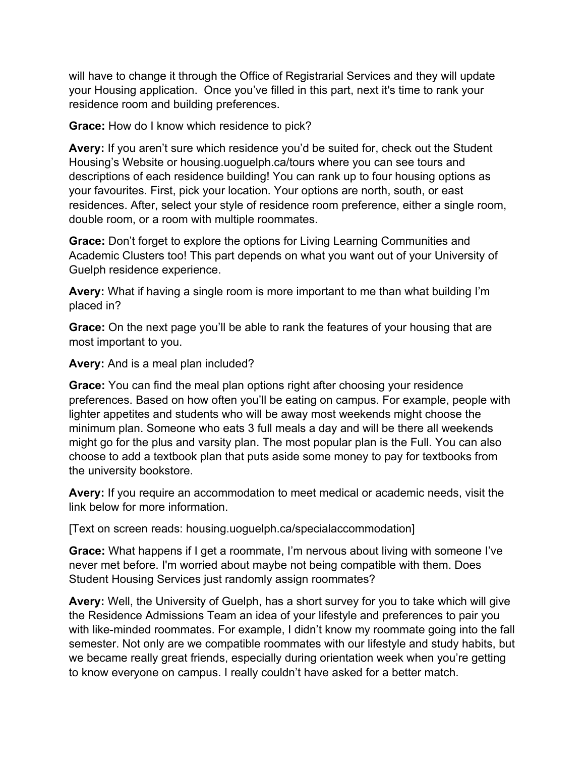will have to change it through the Office of Registrarial Services and they will update your Housing application. Once you've filled in this part, next it's time to rank your residence room and building preferences.

**Grace:** How do I know which residence to pick?

**Avery:** If you aren't sure which residence you'd be suited for, check out the Student Housing's Website or housing.uoguelph.ca/tours where you can see tours and descriptions of each residence building! You can rank up to four housing options as your favourites. First, pick your location. Your options are north, south, or east residences. After, select your style of residence room preference, either a single room, double room, or a room with multiple roommates.

**Grace:** Don't forget to explore the options for Living Learning Communities and Academic Clusters too! This part depends on what you want out of your University of Guelph residence experience.

**Avery:** What if having a single room is more important to me than what building I'm placed in?

**Grace:** On the next page you'll be able to rank the features of your housing that are most important to you.

**Avery:** And is a meal plan included?

**Grace:** You can find the meal plan options right after choosing your residence preferences. Based on how often you'll be eating on campus. For example, people with lighter appetites and students who will be away most weekends might choose the minimum plan. Someone who eats 3 full meals a day and will be there all weekends might go for the plus and varsity plan. The most popular plan is the Full. You can also choose to add a textbook plan that puts aside some money to pay for textbooks from the university bookstore.

**Avery:** If you require an accommodation to meet medical or academic needs, visit the link below for more information.

[Text on screen reads: housing.uoguelph.ca/specialaccommodation]

**Grace:** What happens if I get a roommate, I'm nervous about living with someone I've never met before. I'm worried about maybe not being compatible with them. Does Student Housing Services just randomly assign roommates?

**Avery:** Well, the University of Guelph, has a short survey for you to take which will give the Residence Admissions Team an idea of your lifestyle and preferences to pair you with like-minded roommates. For example, I didn't know my roommate going into the fall semester. Not only are we compatible roommates with our lifestyle and study habits, but we became really great friends, especially during orientation week when you're getting to know everyone on campus. I really couldn't have asked for a better match.